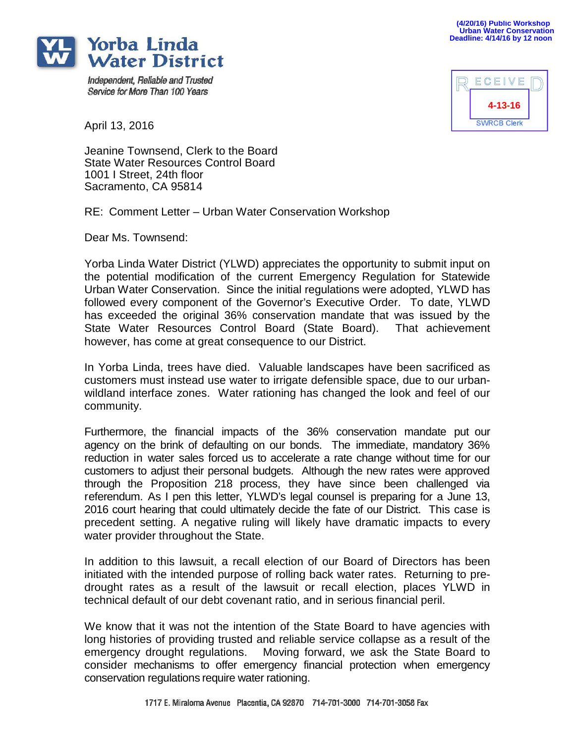

Independent, Reliable and Trusted Service for More Than 100 Years

ECEIVE **4-13-16SWRCB Clerk** 

April 13, 2016

Jeanine Townsend, Clerk to the Board State Water Resources Control Board 1001 I Street, 24th floor Sacramento, CA 95814

RE: Comment Letter – Urban Water Conservation Workshop

Dear Ms. Townsend:

Yorba Linda Water District (YLWD) appreciates the opportunity to submit input on the potential modification of the current Emergency Regulation for Statewide Urban Water Conservation. Since the initial regulations were adopted, YLWD has followed every component of the Governor's Executive Order. To date, YLWD has exceeded the original 36% conservation mandate that was issued by the State Water Resources Control Board (State Board). That achievement however, has come at great consequence to our District.

In Yorba Linda, trees have died. Valuable landscapes have been sacrificed as customers must instead use water to irrigate defensible space, due to our urbanwildland interface zones. Water rationing has changed the look and feel of our community.

Furthermore, the financial impacts of the 36% conservation mandate put our agency on the brink of defaulting on our bonds. The immediate, mandatory 36% reduction in water sales forced us to accelerate a rate change without time for our customers to adjust their personal budgets. Although the new rates were approved through the Proposition 218 process, they have since been challenged via referendum. As I pen this letter, YLWD's legal counsel is preparing for a June 13, 2016 court hearing that could ultimately decide the fate of our District. This case is precedent setting. A negative ruling will likely have dramatic impacts to every water provider throughout the State.

In addition to this lawsuit, a recall election of our Board of Directors has been initiated with the intended purpose of rolling back water rates. Returning to predrought rates as a result of the lawsuit or recall election, places YLWD in technical default of our debt covenant ratio, and in serious financial peril.

We know that it was not the intention of the State Board to have agencies with long histories of providing trusted and reliable service collapse as a result of the emergency drought regulations. Moving forward, we ask the State Board to consider mechanisms to offer emergency financial protection when emergency conservation regulations require water rationing.